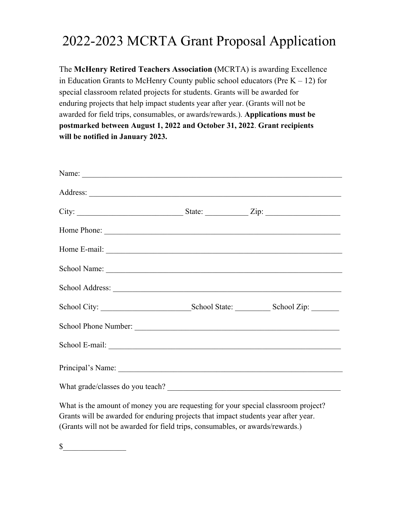## 2022-2023 MCRTA Grant Proposal Application

The **McHenry Retired Teachers Association (**MCRTA) is awarding Excellence in Education Grants to McHenry County public school educators (Pre  $K - 12$ ) for special classroom related projects for students. Grants will be awarded for enduring projects that help impact students year after year. (Grants will not be awarded for field trips, consumables, or awards/rewards.). **Applications must be postmarked between August 1, 2022 and October 31, 2022**. **Grant recipients will be notified in January 2023.**

| School Address: 2008 and 2008 and 2008 and 2008 and 2008 and 2008 and 2008 and 2008 and 2008 and 2008 and 2008 |  |
|----------------------------------------------------------------------------------------------------------------|--|
|                                                                                                                |  |
|                                                                                                                |  |
|                                                                                                                |  |
|                                                                                                                |  |
| What grade/classes do you teach?                                                                               |  |

What is the amount of money you are requesting for your special classroom project? Grants will be awarded for enduring projects that impact students year after year. (Grants will not be awarded for field trips, consumables, or awards/rewards.)

 $\mathbb S$